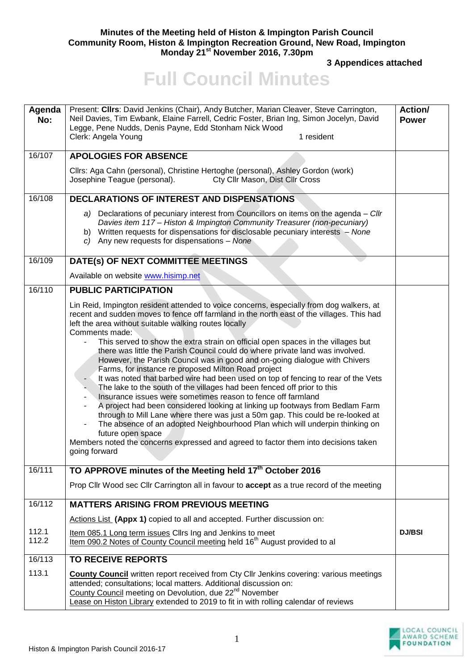## **Minutes of the Meeting held of Histon & Impington Parish Council Community Room, Histon & Impington Recreation Ground, New Road, Impington Monday 21st November 2016, 7.30pm**

**3 Appendices attached** 

## **Full Council Minutes**

| Agenda<br>No:  | Present: Clirs: David Jenkins (Chair), Andy Butcher, Marian Cleaver, Steve Carrington,<br>Neil Davies, Tim Ewbank, Elaine Farrell, Cedric Foster, Brian Ing, Simon Jocelyn, David<br>Legge, Pene Nudds, Denis Payne, Edd Stonham Nick Wood<br>1 resident<br>Clerk: Angela Young                                                                                                                                                                                                                                                                                                                                                                                                                                                                                                                                                                                                                                                                                                                                                                                                                                                                                                                                         | Action/<br><b>Power</b> |
|----------------|-------------------------------------------------------------------------------------------------------------------------------------------------------------------------------------------------------------------------------------------------------------------------------------------------------------------------------------------------------------------------------------------------------------------------------------------------------------------------------------------------------------------------------------------------------------------------------------------------------------------------------------------------------------------------------------------------------------------------------------------------------------------------------------------------------------------------------------------------------------------------------------------------------------------------------------------------------------------------------------------------------------------------------------------------------------------------------------------------------------------------------------------------------------------------------------------------------------------------|-------------------------|
|                |                                                                                                                                                                                                                                                                                                                                                                                                                                                                                                                                                                                                                                                                                                                                                                                                                                                                                                                                                                                                                                                                                                                                                                                                                         |                         |
| 16/107         | <b>APOLOGIES FOR ABSENCE</b>                                                                                                                                                                                                                                                                                                                                                                                                                                                                                                                                                                                                                                                                                                                                                                                                                                                                                                                                                                                                                                                                                                                                                                                            |                         |
|                | Cllrs: Aga Cahn (personal), Christine Hertoghe (personal), Ashley Gordon (work)<br>Cty Cllr Mason, Dist Cllr Cross<br>Josephine Teague (personal).                                                                                                                                                                                                                                                                                                                                                                                                                                                                                                                                                                                                                                                                                                                                                                                                                                                                                                                                                                                                                                                                      |                         |
| 16/108         | DECLARATIONS OF INTEREST AND DISPENSATIONS                                                                                                                                                                                                                                                                                                                                                                                                                                                                                                                                                                                                                                                                                                                                                                                                                                                                                                                                                                                                                                                                                                                                                                              |                         |
|                | a) Declarations of pecuniary interest from Councillors on items on the agenda - Cllr<br>Davies item 117 - Histon & Impington Community Treasurer (non-pecuniary)<br>b) Written requests for dispensations for disclosable pecuniary interests - None<br>c) Any new requests for dispensations $-$ None                                                                                                                                                                                                                                                                                                                                                                                                                                                                                                                                                                                                                                                                                                                                                                                                                                                                                                                  |                         |
| 16/109         | DATE(s) OF NEXT COMMITTEE MEETINGS                                                                                                                                                                                                                                                                                                                                                                                                                                                                                                                                                                                                                                                                                                                                                                                                                                                                                                                                                                                                                                                                                                                                                                                      |                         |
|                | Available on website www.hisimp.net                                                                                                                                                                                                                                                                                                                                                                                                                                                                                                                                                                                                                                                                                                                                                                                                                                                                                                                                                                                                                                                                                                                                                                                     |                         |
| 16/110         | <b>PUBLIC PARTICIPATION</b>                                                                                                                                                                                                                                                                                                                                                                                                                                                                                                                                                                                                                                                                                                                                                                                                                                                                                                                                                                                                                                                                                                                                                                                             |                         |
|                | Lin Reid, Impington resident attended to voice concerns, especially from dog walkers, at<br>recent and sudden moves to fence off farmland in the north east of the villages. This had<br>left the area without suitable walking routes locally<br>Comments made:<br>This served to show the extra strain on official open spaces in the villages but<br>there was little the Parish Council could do where private land was involved.<br>However, the Parish Council was in good and on-going dialogue with Chivers<br>Farms, for instance re proposed Milton Road project<br>It was noted that barbed wire had been used on top of fencing to rear of the Vets<br>The lake to the south of the villages had been fenced off prior to this<br>Insurance issues were sometimes reason to fence off farmland<br>A project had been considered looking at linking up footways from Bedlam Farm<br>$\overline{\phantom{0}}$<br>through to Mill Lane where there was just a 50m gap. This could be re-looked at<br>The absence of an adopted Neighbourhood Plan which will underpin thinking on<br>future open space<br>Members noted the concerns expressed and agreed to factor them into decisions taken<br>going forward |                         |
| 16/111         | TO APPROVE minutes of the Meeting held 17 <sup>th</sup> October 2016                                                                                                                                                                                                                                                                                                                                                                                                                                                                                                                                                                                                                                                                                                                                                                                                                                                                                                                                                                                                                                                                                                                                                    |                         |
|                | Prop Cllr Wood sec Cllr Carrington all in favour to <b>accept</b> as a true record of the meeting                                                                                                                                                                                                                                                                                                                                                                                                                                                                                                                                                                                                                                                                                                                                                                                                                                                                                                                                                                                                                                                                                                                       |                         |
| 16/112         | <b>MATTERS ARISING FROM PREVIOUS MEETING</b>                                                                                                                                                                                                                                                                                                                                                                                                                                                                                                                                                                                                                                                                                                                                                                                                                                                                                                                                                                                                                                                                                                                                                                            |                         |
|                | Actions List (Appx 1) copied to all and accepted. Further discussion on:                                                                                                                                                                                                                                                                                                                                                                                                                                                                                                                                                                                                                                                                                                                                                                                                                                                                                                                                                                                                                                                                                                                                                |                         |
| 112.1<br>112.2 | Item 085.1 Long term issues Cllrs Ing and Jenkins to meet<br>Item 090.2 Notes of County Council meeting held 16 <sup>th</sup> August provided to al                                                                                                                                                                                                                                                                                                                                                                                                                                                                                                                                                                                                                                                                                                                                                                                                                                                                                                                                                                                                                                                                     | <b>DJ/BSI</b>           |
| 16/113         | <b>TO RECEIVE REPORTS</b>                                                                                                                                                                                                                                                                                                                                                                                                                                                                                                                                                                                                                                                                                                                                                                                                                                                                                                                                                                                                                                                                                                                                                                                               |                         |
| 113.1          | <b>County Council</b> written report received from Cty Cllr Jenkins covering: various meetings<br>attended; consultations; local matters. Additional discussion on:<br>County Council meeting on Devolution, due 22 <sup>nd</sup> November<br>Lease on Histon Library extended to 2019 to fit in with rolling calendar of reviews                                                                                                                                                                                                                                                                                                                                                                                                                                                                                                                                                                                                                                                                                                                                                                                                                                                                                       |                         |

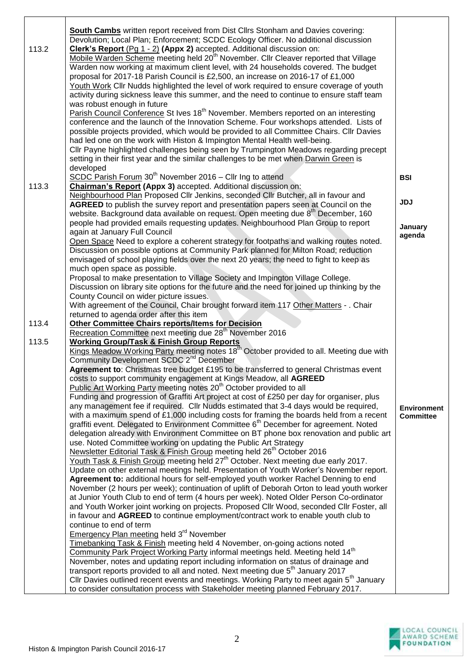| 113.2 | South Cambs written report received from Dist Cllrs Stonham and Davies covering:<br>Devolution; Local Plan; Enforcement; SCDC Ecology Officer. No additional discussion<br>Clerk's Report (Pg 1 - 2) (Appx 2) accepted. Additional discussion on:<br>Mobile Warden Scheme meeting held 20 <sup>th</sup> November. Cllr Cleaver reported that Village<br>Warden now working at maximum client level, with 24 households covered. The budget<br>proposal for 2017-18 Parish Council is £2,500, an increase on 2016-17 of £1,000                                                             |                    |
|-------|-------------------------------------------------------------------------------------------------------------------------------------------------------------------------------------------------------------------------------------------------------------------------------------------------------------------------------------------------------------------------------------------------------------------------------------------------------------------------------------------------------------------------------------------------------------------------------------------|--------------------|
|       | Youth Work Cllr Nudds highlighted the level of work required to ensure coverage of youth<br>activity during sickness leave this summer, and the need to continue to ensure staff team<br>was robust enough in future<br>Parish Council Conference St Ives 18 <sup>th</sup> November. Members reported on an interesting<br>conference and the launch of the Innovation Scheme. Four workshops attended. Lists of<br>possible projects provided, which would be provided to all Committee Chairs. Cllr Davies<br>had led one on the work with Histon & Impington Mental Health well-being. |                    |
|       | Cllr Payne highlighted challenges being seen by Trumpington Meadows regarding precept<br>setting in their first year and the similar challenges to be met when Darwin Green is<br>developed<br>SCDC Parish Forum 30 <sup>th</sup> November 2016 - Cllr Ing to attend                                                                                                                                                                                                                                                                                                                      | <b>BSI</b>         |
| 113.3 | Chairman's Report (Appx 3) accepted. Additional discussion on:<br>Neighbourhood Plan Proposed Cllr Jenkins, seconded Cllr Butcher, all in favour and<br>AGREED to publish the survey report and presentation papers seen at Council on the                                                                                                                                                                                                                                                                                                                                                | <b>JDJ</b>         |
|       | website. Background data available on request. Open meeting due 8 <sup>th</sup> December, 160<br>people had provided emails requesting updates. Neighbourhood Plan Group to report<br>again at January Full Council<br>Open Space Need to explore a coherent strategy for footpaths and walking routes noted.                                                                                                                                                                                                                                                                             | January<br>agenda  |
|       | Discussion on possible options at Community Park planned for Milton Road; reduction<br>envisaged of school playing fields over the next 20 years; the need to fight to keep as<br>much open space as possible.                                                                                                                                                                                                                                                                                                                                                                            |                    |
|       | Proposal to make presentation to Village Society and Impington Village College.<br>Discussion on library site options for the future and the need for joined up thinking by the<br>County Council on wider picture issues.<br>With agreement of the Council, Chair brought forward item 117 Other Matters - . Chair                                                                                                                                                                                                                                                                       |                    |
|       | returned to agenda order after this item                                                                                                                                                                                                                                                                                                                                                                                                                                                                                                                                                  |                    |
| 113.4 | <b>Other Committee Chairs reports/Items for Decision</b><br>Recreation Committee next meeting due 28 <sup>th</sup> November 2016                                                                                                                                                                                                                                                                                                                                                                                                                                                          |                    |
| 113.5 | <b>Working Group/Task &amp; Finish Group Reports</b><br>Kings Meadow Working Party meeting notes 18 <sup>th</sup> October provided to all. Meeting due with                                                                                                                                                                                                                                                                                                                                                                                                                               |                    |
|       | Community Development SCDC 2 <sup>nd</sup> December<br>Agreement to: Christmas tree budget £195 to be transferred to general Christmas event                                                                                                                                                                                                                                                                                                                                                                                                                                              |                    |
|       | costs to support community engagement at Kings Meadow, all AGREED                                                                                                                                                                                                                                                                                                                                                                                                                                                                                                                         |                    |
|       | Public Art Working Party meeting notes 20 <sup>th</sup> October provided to all<br>Funding and progression of Graffiti Art project at cost of £250 per day for organiser, plus                                                                                                                                                                                                                                                                                                                                                                                                            |                    |
|       | any management fee if required. Cllr Nudds estimated that 3-4 days would be required,                                                                                                                                                                                                                                                                                                                                                                                                                                                                                                     | <b>Environment</b> |
|       | with a maximum spend of $£1,000$ including costs for framing the boards held from a recent<br>graffiti event. Delegated to Environment Committee 6 <sup>th</sup> December for agreement. Noted                                                                                                                                                                                                                                                                                                                                                                                            | <b>Committee</b>   |
|       | delegation already with Environment Committee on BT phone box renovation and public art                                                                                                                                                                                                                                                                                                                                                                                                                                                                                                   |                    |
|       | use. Noted Committee working on updating the Public Art Strategy<br>Newsletter Editorial Task & Finish Group meeting held 26 <sup>th</sup> October 2016                                                                                                                                                                                                                                                                                                                                                                                                                                   |                    |
|       | Youth Task & Finish Group meeting held 27 <sup>th</sup> October. Next meeting due early 2017.                                                                                                                                                                                                                                                                                                                                                                                                                                                                                             |                    |
|       | Update on other external meetings held. Presentation of Youth Worker's November report.<br>Agreement to: additional hours for self-employed youth worker Rachel Denning to end                                                                                                                                                                                                                                                                                                                                                                                                            |                    |
|       | November (2 hours per week); continuation of uplift of Deborah Orton to lead youth worker                                                                                                                                                                                                                                                                                                                                                                                                                                                                                                 |                    |
|       | at Junior Youth Club to end of term (4 hours per week). Noted Older Person Co-ordinator                                                                                                                                                                                                                                                                                                                                                                                                                                                                                                   |                    |
|       | and Youth Worker joint working on projects. Proposed Cllr Wood, seconded Cllr Foster, all<br>in favour and AGREED to continue employment/contract work to enable youth club to                                                                                                                                                                                                                                                                                                                                                                                                            |                    |
|       | continue to end of term                                                                                                                                                                                                                                                                                                                                                                                                                                                                                                                                                                   |                    |
|       | Emergency Plan meeting held 3 <sup>rd</sup> November<br>Timebanking Task & Finish meeting held 4 November, on-going actions noted                                                                                                                                                                                                                                                                                                                                                                                                                                                         |                    |
|       | Community Park Project Working Party informal meetings held. Meeting held 14 <sup>th</sup>                                                                                                                                                                                                                                                                                                                                                                                                                                                                                                |                    |
|       | November, notes and updating report including information on status of drainage and                                                                                                                                                                                                                                                                                                                                                                                                                                                                                                       |                    |
|       | transport reports provided to all and noted. Next meeting due 5 <sup>th</sup> January 2017<br>Cllr Davies outlined recent events and meetings. Working Party to meet again 5 <sup>th</sup> January                                                                                                                                                                                                                                                                                                                                                                                        |                    |
|       | to consider consultation process with Stakeholder meeting planned February 2017.                                                                                                                                                                                                                                                                                                                                                                                                                                                                                                          |                    |

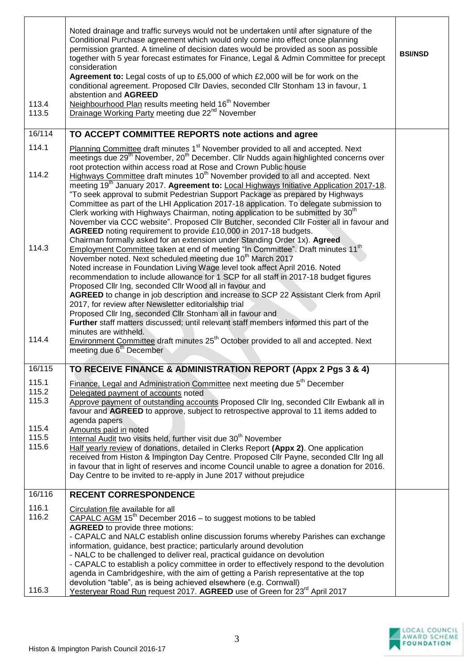| 113.4<br>113.5          | Noted drainage and traffic surveys would not be undertaken until after signature of the<br>Conditional Purchase agreement which would only come into effect once planning<br>permission granted. A timeline of decision dates would be provided as soon as possible<br>together with 5 year forecast estimates for Finance, Legal & Admin Committee for precept<br>consideration<br>Agreement to: Legal costs of up to £5,000 of which £2,000 will be for work on the<br>conditional agreement. Proposed Cllr Davies, seconded Cllr Stonham 13 in favour, 1<br>abstention and AGREED<br>Neighbourhood Plan results meeting held 16 <sup>th</sup> November<br>Drainage Working Party meeting due 22 <sup>nd</sup> November                                                                                                                                                              | <b>BSI/NSD</b> |
|-------------------------|----------------------------------------------------------------------------------------------------------------------------------------------------------------------------------------------------------------------------------------------------------------------------------------------------------------------------------------------------------------------------------------------------------------------------------------------------------------------------------------------------------------------------------------------------------------------------------------------------------------------------------------------------------------------------------------------------------------------------------------------------------------------------------------------------------------------------------------------------------------------------------------|----------------|
| 16/114                  | TO ACCEPT COMMITTEE REPORTS note actions and agree                                                                                                                                                                                                                                                                                                                                                                                                                                                                                                                                                                                                                                                                                                                                                                                                                                     |                |
| 114.1<br>114.2          | Planning Committee draft minutes 1 <sup>st</sup> November provided to all and accepted. Next<br>meetings due 29 <sup>th</sup> November, 20 <sup>th</sup> December. Cllr Nudds again highlighted concerns over<br>root protection within access road at Rose and Crown Public house<br>Highways Committee draft minutes 10 <sup>th</sup> November provided to all and accepted. Next                                                                                                                                                                                                                                                                                                                                                                                                                                                                                                    |                |
| 114.3                   | meeting 19 <sup>th</sup> January 2017. Agreement to: Local Highways Initiative Application 2017-18.<br>"To seek approval to submit Pedestrian Support Package as prepared by Highways<br>Committee as part of the LHI Application 2017-18 application. To delegate submission to<br>Clerk working with Highways Chairman, noting application to be submitted by 30 <sup>th</sup><br>November via CCC website". Proposed Cllr Butcher, seconded Cllr Foster all in favour and<br>AGREED noting requirement to provide £10,000 in 2017-18 budgets.<br>Chairman formally asked for an extension under Standing Order 1x). Agreed<br>Employment Committee taken at end of meeting "In Committee". Draft minutes 11 <sup>th</sup><br>November noted. Next scheduled meeting due 10 <sup>th</sup> March 2017<br>Noted increase in Foundation Living Wage level took affect April 2016. Noted |                |
| 114.4                   | recommendation to include allowance for 1 SCP for all staff in 2017-18 budget figures<br>Proposed Cllr Ing, seconded Cllr Wood all in favour and<br>AGREED to change in job description and increase to SCP 22 Assistant Clerk from April<br>2017, for review after Newsletter editorialship trial<br>Proposed Cllr Ing, seconded Cllr Stonham all in favour and<br>Further staff matters discussed; until relevant staff members informed this part of the<br>minutes are withheld.<br>Environment Committee draft minutes 25 <sup>th</sup> October provided to all and accepted. Next<br>meeting due 6 <sup>th</sup> December                                                                                                                                                                                                                                                        |                |
| 16/115                  | TO RECEIVE FINANCE & ADMINISTRATION REPORT (Appx 2 Pgs 3 & 4)                                                                                                                                                                                                                                                                                                                                                                                                                                                                                                                                                                                                                                                                                                                                                                                                                          |                |
| 115.1<br>115.2<br>115.3 | Finance, Legal and Administration Committee next meeting due 5 <sup>th</sup> December<br>Delegated payment of accounts noted<br>Approve payment of outstanding accounts Proposed Cllr Ing, seconded Cllr Ewbank all in<br>favour and AGREED to approve, subject to retrospective approval to 11 items added to                                                                                                                                                                                                                                                                                                                                                                                                                                                                                                                                                                         |                |
| 115.4<br>115.5<br>115.6 | agenda papers<br>Amounts paid in noted<br>Internal Audit two visits held, further visit due 30 <sup>th</sup> November<br>Half yearly review of donations, detailed in Clerks Report (Appx 2). One application<br>received from Histon & Impington Day Centre. Proposed Cllr Payne, seconded Cllr Ing all<br>in favour that in light of reserves and income Council unable to agree a donation for 2016.<br>Day Centre to be invited to re-apply in June 2017 without prejudice                                                                                                                                                                                                                                                                                                                                                                                                         |                |
| 16/116                  | <b>RECENT CORRESPONDENCE</b>                                                                                                                                                                                                                                                                                                                                                                                                                                                                                                                                                                                                                                                                                                                                                                                                                                                           |                |
| 116.1<br>116.2<br>116.3 | Circulation file available for all<br>CAPALC AGM 15 <sup>th</sup> December 2016 - to suggest motions to be tabled<br><b>AGREED</b> to provide three motions:<br>- CAPALC and NALC establish online discussion forums whereby Parishes can exchange<br>information, guidance, best practice; particularly around devolution<br>- NALC to be challenged to deliver real, practical guidance on devolution<br>- CAPALC to establish a policy committee in order to effectively respond to the devolution<br>agenda in Cambridgeshire, with the aim of getting a Parish representative at the top<br>devolution "table", as is being achieved elsewhere (e.g. Cornwall)<br>Yesteryear Road Run request 2017. AGREED use of Green for 23 <sup>rd</sup> April 2017                                                                                                                           |                |

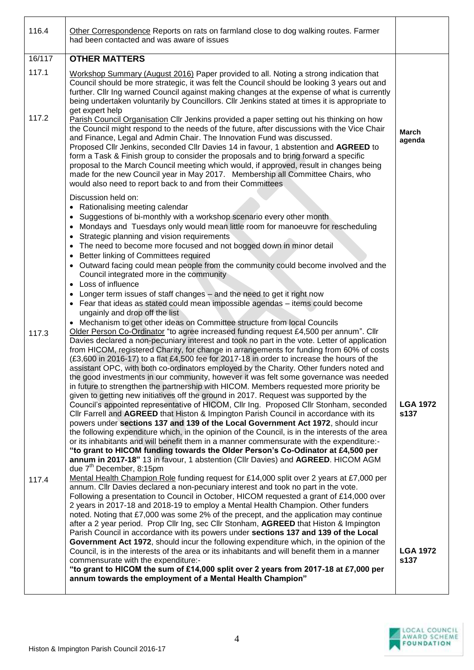| 116.4          | Other Correspondence Reports on rats on farmland close to dog walking routes. Farmer<br>had been contacted and was aware of issues                                                                                                                                                                                                                                                                                                                                                                                                                                                                                                                                                                                                                                                                                                                                                                                                                                                                                                                                                                                                                                                                                                                                                                                                                                                                                                                                                                                                                                                                                 |                         |
|----------------|--------------------------------------------------------------------------------------------------------------------------------------------------------------------------------------------------------------------------------------------------------------------------------------------------------------------------------------------------------------------------------------------------------------------------------------------------------------------------------------------------------------------------------------------------------------------------------------------------------------------------------------------------------------------------------------------------------------------------------------------------------------------------------------------------------------------------------------------------------------------------------------------------------------------------------------------------------------------------------------------------------------------------------------------------------------------------------------------------------------------------------------------------------------------------------------------------------------------------------------------------------------------------------------------------------------------------------------------------------------------------------------------------------------------------------------------------------------------------------------------------------------------------------------------------------------------------------------------------------------------|-------------------------|
| 16/117         | <b>OTHER MATTERS</b>                                                                                                                                                                                                                                                                                                                                                                                                                                                                                                                                                                                                                                                                                                                                                                                                                                                                                                                                                                                                                                                                                                                                                                                                                                                                                                                                                                                                                                                                                                                                                                                               |                         |
| 117.1          | Workshop Summary (August 2016) Paper provided to all. Noting a strong indication that<br>Council should be more strategic, it was felt the Council should be looking 3 years out and<br>further. Cllr Ing warned Council against making changes at the expense of what is currently<br>being undertaken voluntarily by Councillors. Cllr Jenkins stated at times it is appropriate to<br>get expert help                                                                                                                                                                                                                                                                                                                                                                                                                                                                                                                                                                                                                                                                                                                                                                                                                                                                                                                                                                                                                                                                                                                                                                                                           |                         |
| 117.2          | Parish Council Organisation Cllr Jenkins provided a paper setting out his thinking on how<br>the Council might respond to the needs of the future, after discussions with the Vice Chair<br>and Finance, Legal and Admin Chair. The Innovation Fund was discussed.<br>Proposed Cllr Jenkins, seconded Cllr Davies 14 in favour, 1 abstention and AGREED to<br>form a Task & Finish group to consider the proposals and to bring forward a specific<br>proposal to the March Council meeting which would, if approved, result in changes being<br>made for the new Council year in May 2017. Membership all Committee Chairs, who<br>would also need to report back to and from their Committees                                                                                                                                                                                                                                                                                                                                                                                                                                                                                                                                                                                                                                                                                                                                                                                                                                                                                                                    | <b>March</b><br>agenda  |
|                | Discussion held on:                                                                                                                                                                                                                                                                                                                                                                                                                                                                                                                                                                                                                                                                                                                                                                                                                                                                                                                                                                                                                                                                                                                                                                                                                                                                                                                                                                                                                                                                                                                                                                                                |                         |
|                | Rationalising meeting calendar<br>Suggestions of bi-monthly with a workshop scenario every other month<br>$\bullet$<br>Mondays and Tuesdays only would mean little room for manoeuvre for rescheduling<br>$\bullet$<br>Strategic planning and vision requirements<br>$\bullet$                                                                                                                                                                                                                                                                                                                                                                                                                                                                                                                                                                                                                                                                                                                                                                                                                                                                                                                                                                                                                                                                                                                                                                                                                                                                                                                                     |                         |
|                | The need to become more focused and not bogged down in minor detail<br>$\bullet$<br>Better linking of Committees required<br>$\bullet$                                                                                                                                                                                                                                                                                                                                                                                                                                                                                                                                                                                                                                                                                                                                                                                                                                                                                                                                                                                                                                                                                                                                                                                                                                                                                                                                                                                                                                                                             |                         |
|                | Outward facing could mean people from the community could become involved and the<br>Council integrated more in the community                                                                                                                                                                                                                                                                                                                                                                                                                                                                                                                                                                                                                                                                                                                                                                                                                                                                                                                                                                                                                                                                                                                                                                                                                                                                                                                                                                                                                                                                                      |                         |
|                | Loss of influence<br>$\bullet$                                                                                                                                                                                                                                                                                                                                                                                                                                                                                                                                                                                                                                                                                                                                                                                                                                                                                                                                                                                                                                                                                                                                                                                                                                                                                                                                                                                                                                                                                                                                                                                     |                         |
|                | Longer term issues of staff changes - and the need to get it right now<br>Fear that ideas as stated could mean impossible agendas - items could become<br>ungainly and drop off the list                                                                                                                                                                                                                                                                                                                                                                                                                                                                                                                                                                                                                                                                                                                                                                                                                                                                                                                                                                                                                                                                                                                                                                                                                                                                                                                                                                                                                           |                         |
| 117.3<br>117.4 | Mechanism to get other ideas on Committee structure from local Councils<br>Older Person Co-Ordinator "to agree increased funding request £4,500 per annum". Cllr<br>Davies declared a non-pecuniary interest and took no part in the vote. Letter of application<br>from HICOM, registered Charity, for change in arrangements for funding from 60% of costs<br>(£3,600 in 2016-17) to a flat £4,500 fee for 2017-18 in order to increase the hours of the<br>assistant OPC, with both co-ordinators employed by the Charity. Other funders noted and<br>the good investments in our community, however it was felt some governance was needed<br>in future to strengthen the partnership with HICOM. Members requested more priority be<br>given to getting new initiatives off the ground in 2017. Request was supported by the<br>Council's appointed representative of HICOM, Cllr Ing. Proposed Cllr Stonham, seconded<br>Cllr Farrell and AGREED that Histon & Impington Parish Council in accordance with its<br>powers under sections 137 and 139 of the Local Government Act 1972, should incur<br>the following expenditure which, in the opinion of the Council, is in the interests of the area<br>or its inhabitants and will benefit them in a manner commensurate with the expenditure:-<br>"to grant to HICOM funding towards the Older Person's Co-Odinator at £4,500 per<br>annum in 2017-18" 13 in favour, 1 abstention (Cllr Davies) and AGREED. HICOM AGM<br>due 7 <sup>th</sup> December, 8:15pm<br>Mental Health Champion Role funding request for £14,000 split over 2 years at £7,000 per | <b>LGA 1972</b><br>s137 |
|                | annum. Cllr Davies declared a non-pecuniary interest and took no part in the vote.<br>Following a presentation to Council in October, HICOM requested a grant of £14,000 over<br>2 years in 2017-18 and 2018-19 to employ a Mental Health Champion. Other funders<br>noted. Noting that £7,000 was some 2% of the precept, and the application may continue<br>after a 2 year period. Prop Cllr Ing, sec Cllr Stonham, AGREED that Histon & Impington<br>Parish Council in accordance with its powers under sections 137 and 139 of the Local<br>Government Act 1972, should incur the following expenditure which, in the opinion of the<br>Council, is in the interests of the area or its inhabitants and will benefit them in a manner<br>commensurate with the expenditure:-<br>"to grant to HICOM the sum of £14,000 split over 2 years from 2017-18 at £7,000 per<br>annum towards the employment of a Mental Health Champion"                                                                                                                                                                                                                                                                                                                                                                                                                                                                                                                                                                                                                                                                              | <b>LGA 1972</b><br>s137 |